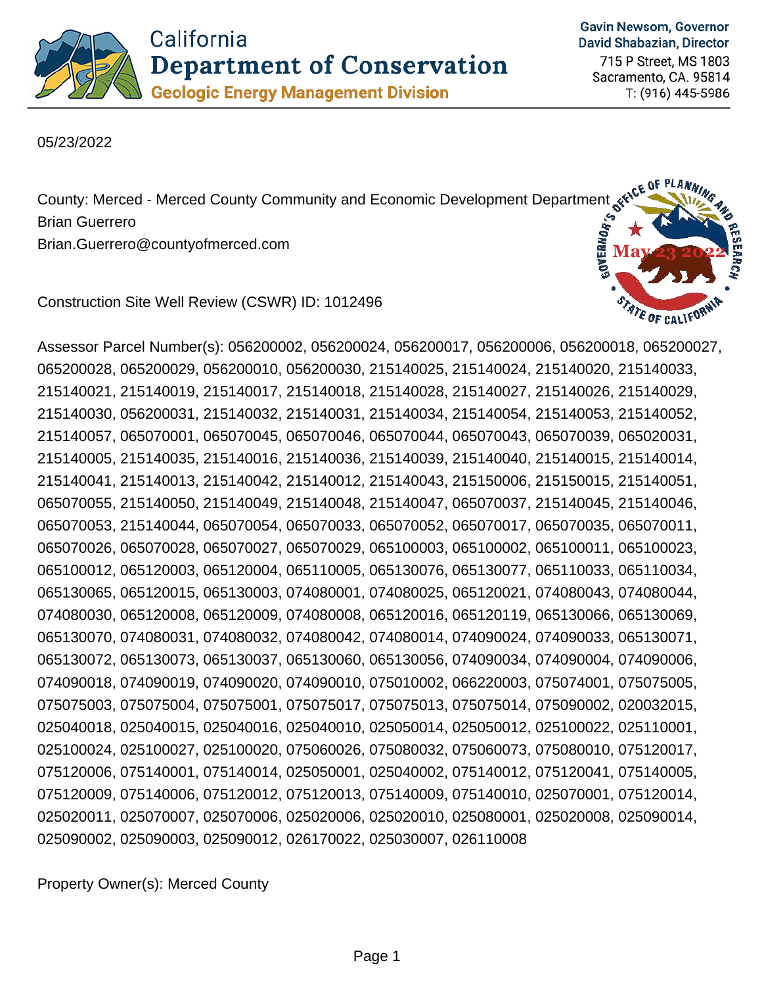

**Gavin Newsom, Governor** David Shabazian, Director

715 P Street, MS 1803 Sacramento, CA. 95814 T: (916) 445-5986

05/23/2022

County: Merced - Merced County Community and Economic Development Department structure<br>Brian Guerrero<br>Brian Guerrero@countyofmerced.com Brian Guerrero Brian.Guerrero@countyofmerced.com

Construction Site Well Review (CSWR) ID: 1012496



Assessor Parcel Number(s): 056200002, 056200024, 056200017, 056200006, 056200018, 065200027, 065200028, 065200029, 056200010, 056200030, 215140025, 215140024, 215140020, 215140033, 215140021, 215140019, 215140017, 215140018, 215140028, 215140027, 215140026, 215140029, 215140030, 056200031, 215140032, 215140031, 215140034, 215140054, 215140053, 215140052, 215140057, 065070001, 065070045, 065070046, 065070044, 065070043, 065070039, 065020031, 215140005, 215140035, 215140016, 215140036, 215140039, 215140040, 215140015, 215140014, 215140041, 215140013, 215140042, 215140012, 215140043, 215150006, 215150015, 215140051, 065070055, 215140050, 215140049, 215140048, 215140047, 065070037, 215140045, 215140046, 065070053, 215140044, 065070054, 065070033, 065070052, 065070017, 065070035, 065070011, 065070026, 065070028, 065070027, 065070029, 065100003, 065100002, 065100011, 065100023, 065100012, 065120003, 065120004, 065110005, 065130076, 065130077, 065110033, 065110034, 065130065, 065120015, 065130003, 074080001, 074080025, 065120021, 074080043, 074080044, 074080030, 065120008, 065120009, 074080008, 065120016, 065120119, 065130066, 065130069, 065130070, 074080031, 074080032, 074080042, 074080014, 074090024, 074090033, 065130071, 065130072, 065130073, 065130037, 065130060, 065130056, 074090034, 074090004, 074090006, 074090018, 074090019, 074090020, 074090010, 075010002, 066220003, 075074001, 075075005, 075075003, 075075004, 075075001, 075075017, 075075013, 075075014, 075090002, 020032015, 025040018, 025040015, 025040016, 025040010, 025050014, 025050012, 025100022, 025110001, 025100024, 025100027, 025100020, 075060026, 075080032, 075060073, 075080010, 075120017, 075120006, 075140001, 075140014, 025050001, 025040002, 075140012, 075120041, 075140005, 075120009, 075140006, 075120012, 075120013, 075140009, 075140010, 025070001, 075120014, 025020011, 025070007, 025070006, 025020006, 025020010, 025080001, 025020008, 025090014, 025090002, 025090003, 025090012, 026170022, 025030007, 026110008

Property Owner(s): Merced County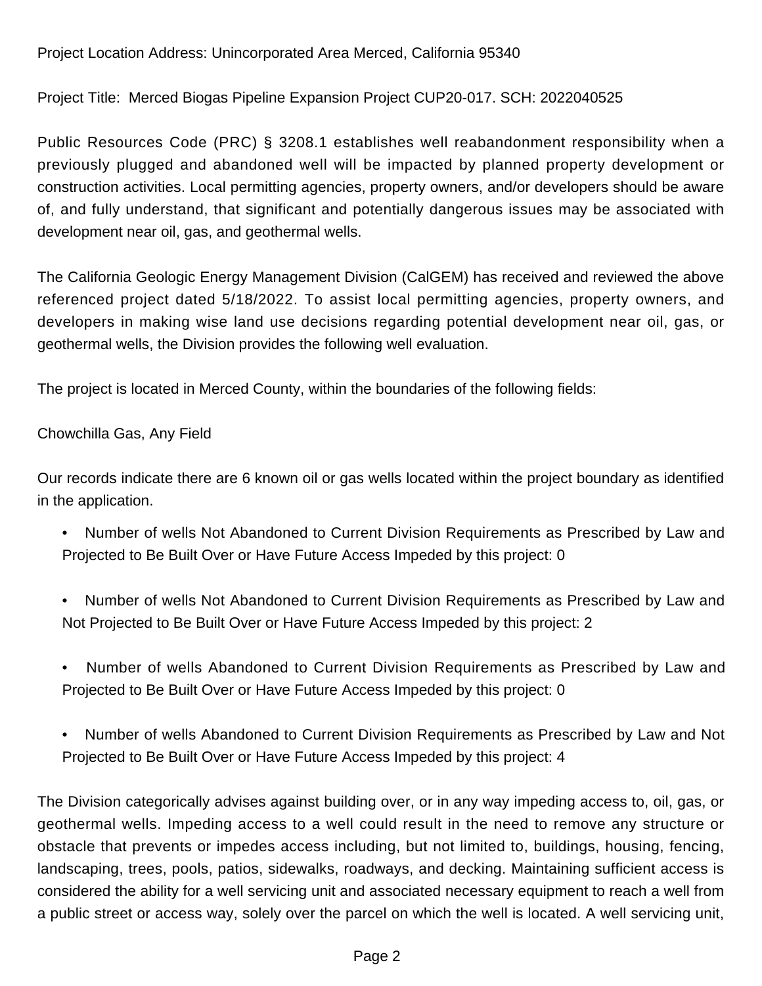## Project Location Address: Unincorporated Area Merced, California 95340

Project Title: Merced Biogas Pipeline Expansion Project CUP20-017. SCH: 2022040525

Public Resources Code (PRC) § 3208.1 establishes well reabandonment responsibility when a previously plugged and abandoned well will be impacted by planned property development or construction activities. Local permitting agencies, property owners, and/or developers should be aware of, and fully understand, that significant and potentially dangerous issues may be associated with development near oil, gas, and geothermal wells.

The California Geologic Energy Management Division (CalGEM) has received and reviewed the above referenced project dated 5/18/2022. To assist local permitting agencies, property owners, and developers in making wise land use decisions regarding potential development near oil, gas, or geothermal wells, the Division provides the following well evaluation.

The project is located in Merced County, within the boundaries of the following fields:

Chowchilla Gas, Any Field

Our records indicate there are 6 known oil or gas wells located within the project boundary as identified in the application.

- Number of wells Not Abandoned to Current Division Requirements as Prescribed by Law and Projected to Be Built Over or Have Future Access Impeded by this project: 0
- Number of wells Not Abandoned to Current Division Requirements as Prescribed by Law and Not Projected to Be Built Over or Have Future Access Impeded by this project: 2
- Number of wells Abandoned to Current Division Requirements as Prescribed by Law and Projected to Be Built Over or Have Future Access Impeded by this project: 0
- Number of wells Abandoned to Current Division Requirements as Prescribed by Law and Not Projected to Be Built Over or Have Future Access Impeded by this project: 4

The Division categorically advises against building over, or in any way impeding access to, oil, gas, or geothermal wells. Impeding access to a well could result in the need to remove any structure or obstacle that prevents or impedes access including, but not limited to, buildings, housing, fencing, landscaping, trees, pools, patios, sidewalks, roadways, and decking. Maintaining sufficient access is considered the ability for a well servicing unit and associated necessary equipment to reach a well from a public street or access way, solely over the parcel on which the well is located. A well servicing unit,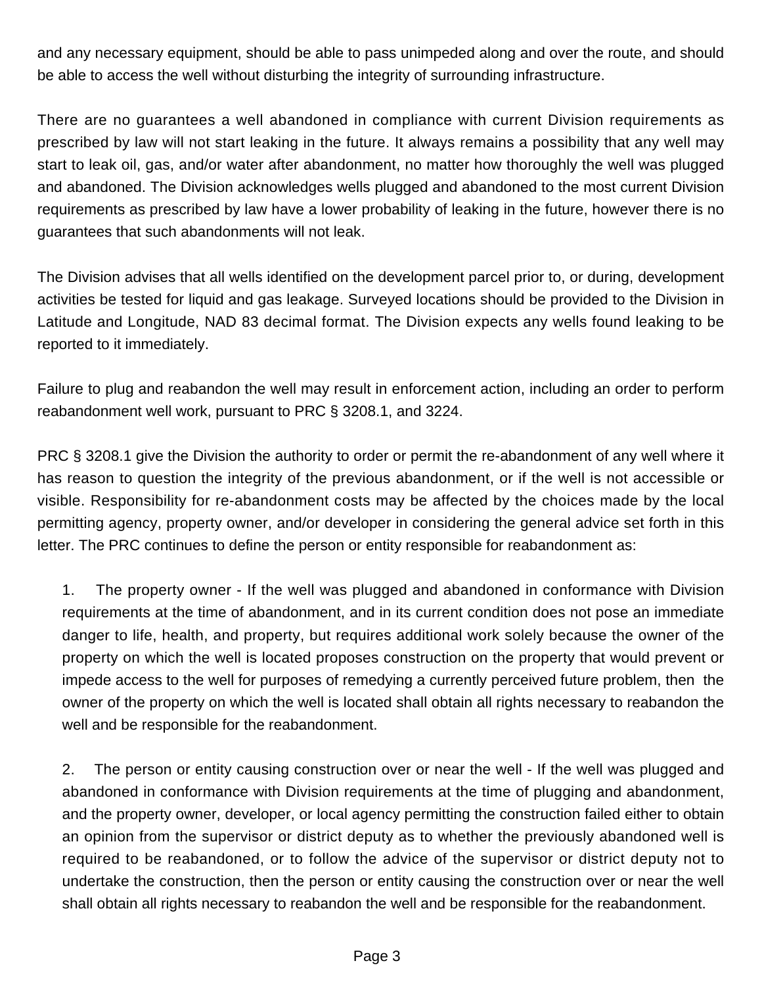and any necessary equipment, should be able to pass unimpeded along and over the route, and should be able to access the well without disturbing the integrity of surrounding infrastructure.

There are no guarantees a well abandoned in compliance with current Division requirements as prescribed by law will not start leaking in the future. It always remains a possibility that any well may start to leak oil, gas, and/or water after abandonment, no matter how thoroughly the well was plugged and abandoned. The Division acknowledges wells plugged and abandoned to the most current Division requirements as prescribed by law have a lower probability of leaking in the future, however there is no guarantees that such abandonments will not leak.

The Division advises that all wells identified on the development parcel prior to, or during, development activities be tested for liquid and gas leakage. Surveyed locations should be provided to the Division in Latitude and Longitude, NAD 83 decimal format. The Division expects any wells found leaking to be reported to it immediately.

Failure to plug and reabandon the well may result in enforcement action, including an order to perform reabandonment well work, pursuant to PRC § 3208.1, and 3224.

PRC § 3208.1 give the Division the authority to order or permit the re-abandonment of any well where it has reason to question the integrity of the previous abandonment, or if the well is not accessible or visible. Responsibility for re-abandonment costs may be affected by the choices made by the local permitting agency, property owner, and/or developer in considering the general advice set forth in this letter. The PRC continues to define the person or entity responsible for reabandonment as:

1. The property owner - If the well was plugged and abandoned in conformance with Division requirements at the time of abandonment, and in its current condition does not pose an immediate danger to life, health, and property, but requires additional work solely because the owner of the property on which the well is located proposes construction on the property that would prevent or impede access to the well for purposes of remedying a currently perceived future problem, then the owner of the property on which the well is located shall obtain all rights necessary to reabandon the well and be responsible for the reabandonment.

2. The person or entity causing construction over or near the well - If the well was plugged and abandoned in conformance with Division requirements at the time of plugging and abandonment, and the property owner, developer, or local agency permitting the construction failed either to obtain an opinion from the supervisor or district deputy as to whether the previously abandoned well is required to be reabandoned, or to follow the advice of the supervisor or district deputy not to undertake the construction, then the person or entity causing the construction over or near the well shall obtain all rights necessary to reabandon the well and be responsible for the reabandonment.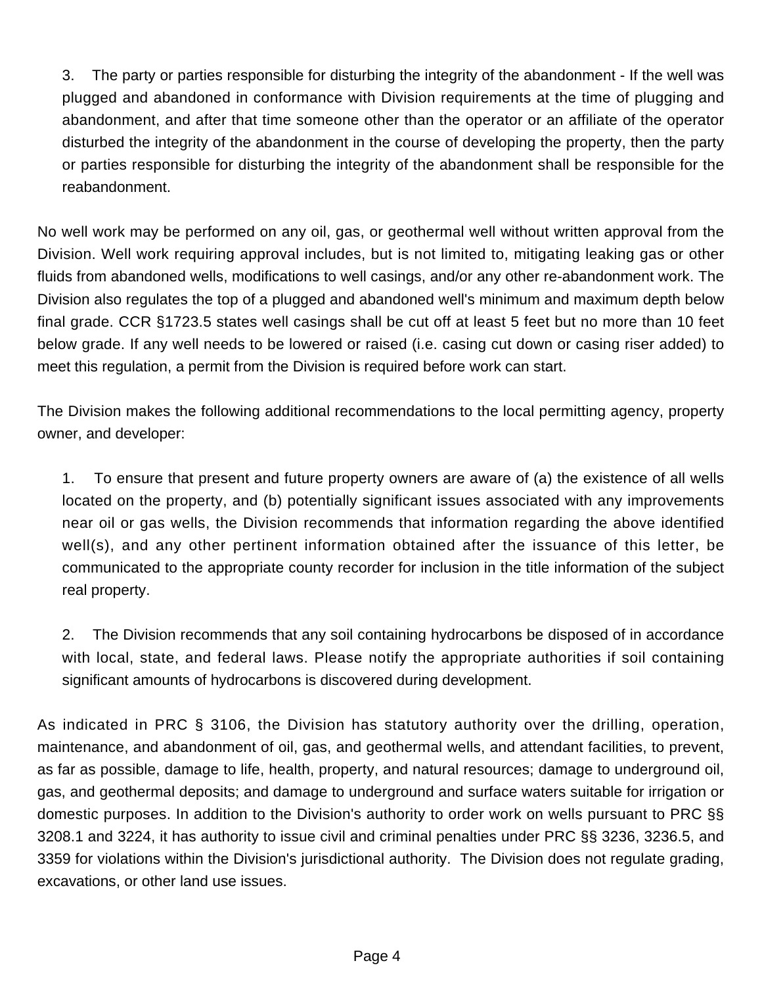3. The party or parties responsible for disturbing the integrity of the abandonment - If the well was plugged and abandoned in conformance with Division requirements at the time of plugging and abandonment, and after that time someone other than the operator or an affiliate of the operator disturbed the integrity of the abandonment in the course of developing the property, then the party or parties responsible for disturbing the integrity of the abandonment shall be responsible for the reabandonment.

No well work may be performed on any oil, gas, or geothermal well without written approval from the Division. Well work requiring approval includes, but is not limited to, mitigating leaking gas or other fluids from abandoned wells, modifications to well casings, and/or any other re-abandonment work. The Division also regulates the top of a plugged and abandoned well's minimum and maximum depth below final grade. CCR §1723.5 states well casings shall be cut off at least 5 feet but no more than 10 feet below grade. If any well needs to be lowered or raised (i.e. casing cut down or casing riser added) to meet this regulation, a permit from the Division is required before work can start.

The Division makes the following additional recommendations to the local permitting agency, property owner, and developer:

1. To ensure that present and future property owners are aware of (a) the existence of all wells located on the property, and (b) potentially significant issues associated with any improvements near oil or gas wells, the Division recommends that information regarding the above identified well(s), and any other pertinent information obtained after the issuance of this letter, be communicated to the appropriate county recorder for inclusion in the title information of the subject real property.

2. The Division recommends that any soil containing hydrocarbons be disposed of in accordance with local, state, and federal laws. Please notify the appropriate authorities if soil containing significant amounts of hydrocarbons is discovered during development.

As indicated in PRC § 3106, the Division has statutory authority over the drilling, operation, maintenance, and abandonment of oil, gas, and geothermal wells, and attendant facilities, to prevent, as far as possible, damage to life, health, property, and natural resources; damage to underground oil, gas, and geothermal deposits; and damage to underground and surface waters suitable for irrigation or domestic purposes. In addition to the Division's authority to order work on wells pursuant to PRC §§ 3208.1 and 3224, it has authority to issue civil and criminal penalties under PRC §§ 3236, 3236.5, and 3359 for violations within the Division's jurisdictional authority. The Division does not regulate grading, excavations, or other land use issues.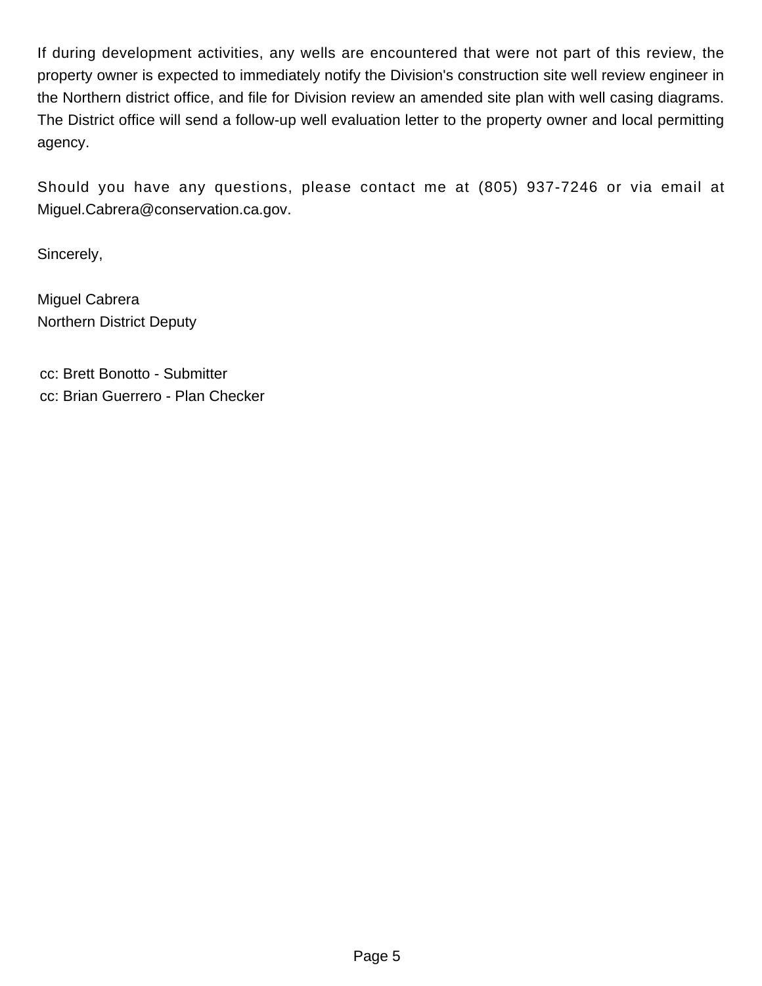If during development activities, any wells are encountered that were not part of this review, the property owner is expected to immediately notify the Division's construction site well review engineer in the Northern district office, and file for Division review an amended site plan with well casing diagrams. The District office will send a follow-up well evaluation letter to the property owner and local permitting agency.

Should you have any questions, please contact me at (805) 937-7246 or via email at Miguel.Cabrera@conservation.ca.gov.

Sincerely,

Miguel Cabrera Northern District Deputy

cc: Brett Bonotto - Submitter cc: Brian Guerrero - Plan Checker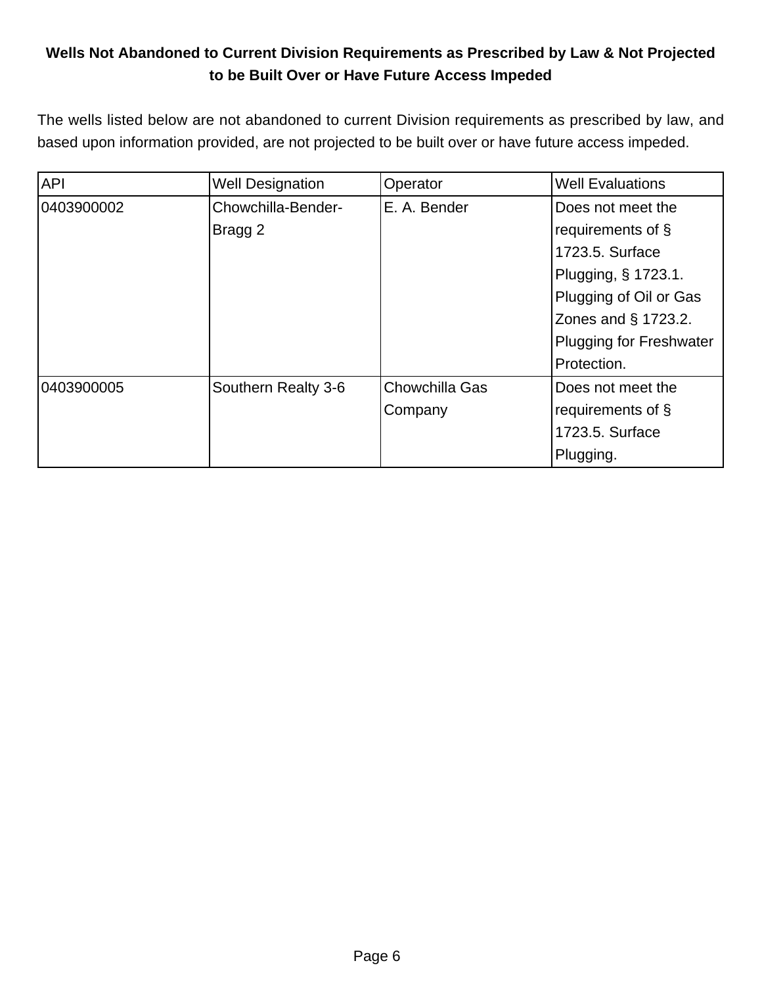## **Wells Not Abandoned to Current Division Requirements as Prescribed by Law & Not Projected to be Built Over or Have Future Access Impeded**

The wells listed below are not abandoned to current Division requirements as prescribed by law, and based upon information provided, are not projected to be built over or have future access impeded.

| <b>API</b> | <b>Well Designation</b> | Operator       | <b>Well Evaluations</b>        |
|------------|-------------------------|----------------|--------------------------------|
| 0403900002 | Chowchilla-Bender-      | E. A. Bender   | Does not meet the              |
|            | Bragg 2                 |                | requirements of §              |
|            |                         |                | 1723.5. Surface                |
|            |                         |                | Plugging, § 1723.1.            |
|            |                         |                | Plugging of Oil or Gas         |
|            |                         |                | Zones and § 1723.2.            |
|            |                         |                | <b>Plugging for Freshwater</b> |
|            |                         |                | Protection.                    |
| 0403900005 | Southern Realty 3-6     | Chowchilla Gas | Does not meet the              |
|            |                         | Company        | requirements of $\S$           |
|            |                         |                | 1723.5. Surface                |
|            |                         |                | Plugging.                      |